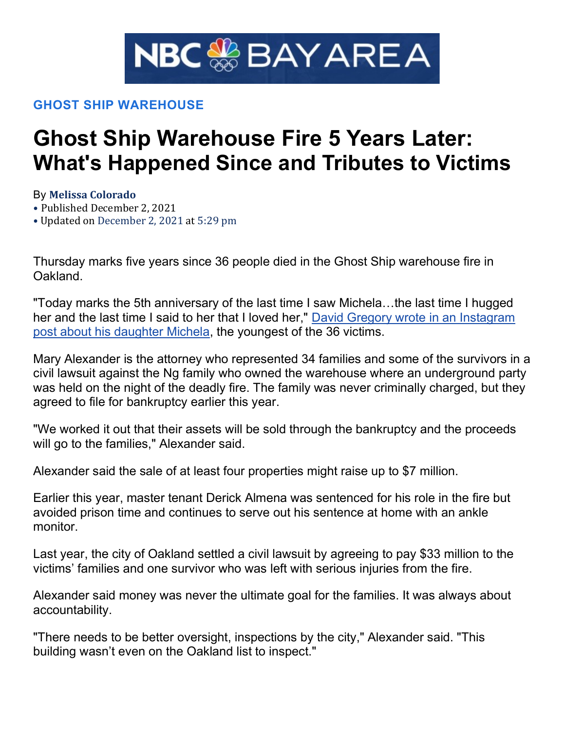

## GHOST SHIP WAREHOUSE

## Ghost Ship Warehouse Fire 5 Years Later: What's Happened Since and Tributes to Victims

By Melissa Colorado

• Published December 2, 2021

• Updated on December 2, 2021 at 5:29 pm

Thursday marks five years since 36 people died in the Ghost Ship warehouse fire in **Oakland** 

"Today marks the 5th anniversary of the last time I saw Michela…the last time I hugged her and the last time I said to her that I loved her," David Gregory wrote in an Instagram post about his daughter Michela, the youngest of the 36 victims.

Mary Alexander is the attorney who represented 34 families and some of the survivors in a civil lawsuit against the Ng family who owned the warehouse where an underground party was held on the night of the deadly fire. The family was never criminally charged, but they agreed to file for bankruptcy earlier this year.

"We worked it out that their assets will be sold through the bankruptcy and the proceeds will go to the families," Alexander said.

Alexander said the sale of at least four properties might raise up to \$7 million.

Earlier this year, master tenant Derick Almena was sentenced for his role in the fire but avoided prison time and continues to serve out his sentence at home with an ankle monitor.

Last year, the city of Oakland settled a civil lawsuit by agreeing to pay \$33 million to the victims' families and one survivor who was left with serious injuries from the fire.

Alexander said money was never the ultimate goal for the families. It was always about accountability.

"There needs to be better oversight, inspections by the city," Alexander said. "This building wasn't even on the Oakland list to inspect."